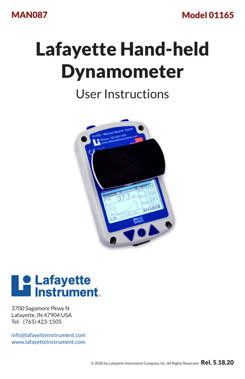MAN087

Model 01165

# Lafayette Hand-held Dynamometer

## User Instructions





3700 Sagamore Pkwy N Lafayette, IN 47904 USA Tel: (765) 423-1505

info@lafayetteinstrument.com www.lafayetteinstrument.com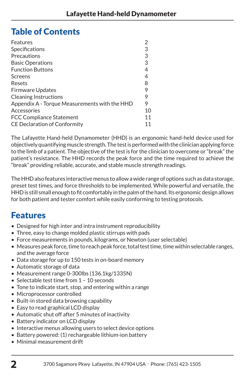## Table of Contents

| 3  |
|----|
| 3  |
| 3  |
| 4  |
| 4  |
| 8  |
| 9  |
| 9  |
| 9  |
| 10 |
| 11 |
|    |
|    |

The Lafayette Hand-held Dynamometer (HHD) is an ergonomic hand-held device used for objectively quantifying muscle strength. The test is performed with the clinician applying force to the limb of a patient. The objective of the test is for the clinician to overcome or "break" the patient's resistance. The HHD records the peak force and the time required to achieve the "break" providing reliable, accurate, and stable muscle strength readings.

The HHD also features interactive menus to allow a wide range of options such as data storage, preset test times, and force thresholds to be implemented. While powerful and versatile, the HHD is still small enough to fit comfortably in the palm of the hand. Its ergonomic design allows for both patient and tester comfort while easily conforming to testing protocols.

## Features

- Designed for high inter and intra instrument reproducibility
- Three, easy to change molded plastic stirrups with pads
- Force measurements in pounds, kilograms, or Newton (user selectable)
- • Measures peak force, time to reach peak force, total test time, time within selectable ranges, and the average force
- Data storage for up to 150 tests in on-board memory
- Automatic storage of data
- Measurement range 0-300lbs (136.1kg/1335N)
- $\bullet$  Selectable test time from 1 10 seconds
- Tone to indicate start, stop, and entering within a range
- Microprocessor controlled
- Built-in stored data browsing capability
- Easy to read graphical LCD display
- Automatic shut off after 5 minutes of inactivity
- Battery indicator on LCD display
- • Interactive menus allowing users to select device options
- Battery powered: (1) rechargeable lithium-ion battery
- • Minimal measurement drift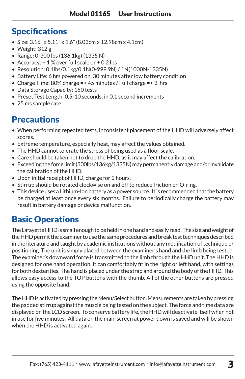## **Specifications**

- Size:  $3.16'' \times 5.11'' \times 1.6''$  (8.03cm x 12.98cm x 4.1cm)
- • Weight: 312 g
- • Range: 0-300 lbs (136.1kg) (1335 N)
- Accuracy:  $\pm 1$ % over full scale or  $\pm 0.2$  lbs
- • Resolution: 0.1lbs/0.1kg/0.1N(0-999.9N) / 1N(1000N-1335N)
- Battery Life: 6 hrs powered on, 30 minutes after low battery condition
- Charge Time: 80% charge =  $> 45$  minutes / Full charge =  $> 2$  hrs
- Data Storage Capacity: 150 tests
- Preset Test Length: 0.5-10 seconds: in 0.1 second increments
- 25 ms sample rate

## **Precautions**

- When performing repeated tests, inconsistent placement of the HHD will adversely affect scores.
- Extreme temperature, especially heat, may affect the values obtained.
- The HHD cannot tolerate the stress of being used as a floor scale.
- Care should be taken not to drop the HHD, as it may affect the calibration.
- • Exceeding the force limit (300lbs/136kg/1335N) may permanently damage and/or invalidate the calibration of the HHD.
- Upon initial receipt of HHD, charge for 2 hours.
- Stirrup should be rotated clockwise on and off to reduce friction on O-ring.
- • This device uses a Lithium-Ion battery as a power source. It is recommended that the battery be charged at least once every six months. Failure to periodically charge the battery may result in battery damage or device malfunction.

## Basic Operations

The Lafayette HHD is small enough to be held in one hand and easily read. The size and weight of the HHD permit the examiner to use the same procedures and break test techniques described in the literature and taught by academic institutions without any modification oftechnique or positioning. The unit is simply placed between the examiner's hand and the limb being tested. The examiner's downward force is transmitted to the limb through the HHD unit. The HHD is designed for one hand operation. It can comfortably fit in the right or left hand, with settings for both dexterities. The hand is placed under the strap and around the body of the HHD. This allows easy access to the TOP buttons with the thumb. All of the other buttons are pressed using the opposite hand.

The HHD is activated by pressing the Menu/Select button. Measurements are taken by pressing the padded stirrup against the muscle being tested on the subject. The force and time data are displayed on the LCD screen. To conserve battery life, the HHD will deactivate itself when not in use for five minutes. All data on the main screen at power down is saved and will be shown when the HHD is activated again.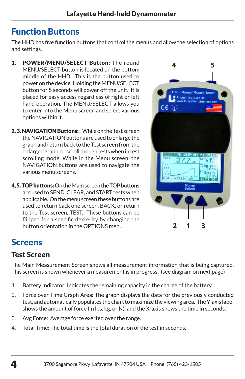## Function Buttons

The HHD has five function buttons that control the menus and allow the selection of options and settings.

- 1. POWER/MENU/SELECT Button: The round MENU/SELECT button is located on the bottom middle of the HHD. This is the button used to power on the device. Holding the MENU/SELECT button for 5 seconds will power off the unit. It is placed for easy access regardless of right or left hand operation. The MENU/SELECT allows you to enter into the Menu screen and select various options within it.
- 2.3. NAVIGATION Buttons: : While on the Test screen the NAVIGATION buttons are used to enlarge the graph and return back to the Test screen from the enlarged graph, or scroll though tests when in test scrolling mode. While in the Menu screen, the NAVIGATION buttons are used to navigate the various menu screens.
- 4, 5. TOP buttons: On the Main screen the TOP buttons are used to SEND, CLEAR, and START tests when applicable. On the menu screen these buttons are used to return back one screen, BACK, or return to the Test screen, TEST. These buttons can be flipped for a specific dexterity by changing the button orientation in the OPTIONS menu.



## Screens

## Test Screen

The Main Measurement Screen shows all measurement information that is being captured. This screen is shown whenever a measurement is in progress. (see diagram on next page)

- 1. Battery Indicator: Indicates the remaining capacity in the charge of the battery.
- 2. Force over Time Graph Area: The graph displays the data for the previously conducted test, and automatically populates the chart to maximize the viewing area. The Y-axis label shows the amount of force (in lbs, kg, or N), and the X-axis shows the time in seconds.
- 3. Avg Force: Average force exerted over the range.
- 4. Total Time: The total time is the total duration of the test in seconds.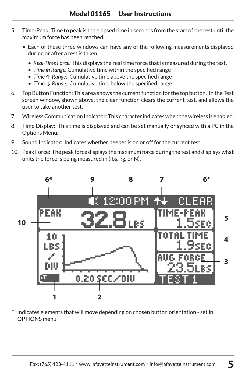- 5. Time-Peak: Time to peak is the elapsed time in seconds from the start of the test until the maximum force has been reached.
	- Each of these three windows can have any of the following measurements displayed during or after a test is taken:
		- *• Real-Time Force:* This displays the real time force that is measured during the test.
		- *• Time in Range:* Cumulative time within the specified range
		- *• Time* ↑ *Range:* Cumulative time above the specified range
		- *• Time ↓ Range:* Cumulative time below the specified range
- 6. Top Button Function: This area shows the current function for the top button. In the Test screen window, shown above, the clear function clears the current test, and allows the user to take another test.
- 7. Wireless Communication Indicator: This character indicates when the wireless is enabled.
- 8. Time Display: This time is displayed and can be set manually or synced with a PC in the Options Menu.
- 9. Sound Indicator: Indicates whether beeper is on or off for the current test.
- 10. Peak Force: The peak force displays the maximum force during the test and displays what units the force is being measured in (lbs, kg, or N).



Indicates elements that will move depending on chosen button orientation - set in OPTIONS menu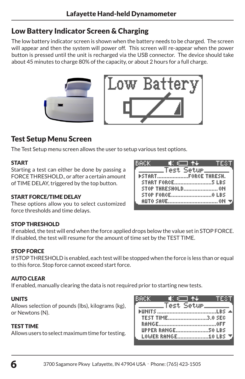## Low Battery Indicator Screen & Charging

The low battery indicator screen is shown when the battery needs to be charged. The screen will appear and then the system will power off. This screen will re-appear when the power button is pressed until the unit is recharged via the USB connector. The device should take about 45 minutes to charge 80% of the capacity, or about 2 hours for a full charge.





ВАСК

## Test Setup Menu Screen

The Test Setup menu screen allows the user to setup various test options.

### START

Starting a test can either be done by passing a FORCE THRESHOLD., or after a certain amount of TIME DELAY, triggered by the top button.

### START FORCE/TIME DELAY

These options allow you to select customized force thresholds and time delays.

### STOP THRESHOLD

If enabled, the test will end when the force applied drops below the value set in STOP FORCE. If disabled, the test will resume for the amount of time set by the TEST TIME.

## STOP FORCE

If STOP THRESHOLD is enabled, each test will be stopped when the force is less than or equal to this force. Stop force cannot exceed start force.

### AUTO CLEAR

If enabled, manually clearing the data is not required prior to starting new tests.

### UNITS

Allows selection of pounds (lbs), kilograms (kg), or Newtons (N).

### TEST TIME

Allows users to select maximum time for testing.

| вяскі            | ▐░▓▔▌▜▟▏          | m EXI |  |
|------------------|-------------------|-------|--|
|                  | _Test Setup______ |       |  |
|                  |                   |       |  |
| TEST TIME3.0 SEC |                   |       |  |
|                  |                   |       |  |
|                  |                   |       |  |
|                  |                   |       |  |

 $\sigma$   $\Box$  $+1$ Test Setue. STOP THRESHOLD........................ ON AUTO SAVE................................... OM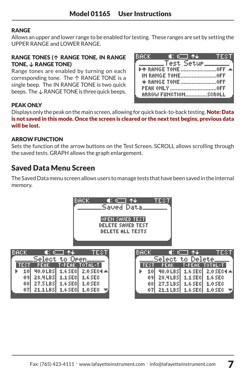### RANGE

Allows an upper and lower range to be enabled for testing. These ranges are set by setting the UPPER RANGE and LOWER RANGE.

#### RANGE TONES (**↑** RANGE TONE, IN RANGE TONE, **↓** RANGE TONE)

Range tones are enabled by turning on each corresponding tone. The ↑ RANGE TONE is a single beep. The IN RANGE TONE is two quick beeps. The ↓ RANGE TONE is three quick beeps.

| IBACK (CIII †+ I<br>TEST   |
|----------------------------|
| 「________Test Setup_______ |
|                            |
|                            |
|                            |
|                            |
| ARROW FUNCTIONSCROLL       |
|                            |

### **PEAK ONLY**

Displays only the peak on the main screen, allowing for quick back-to-back testing. **Note: Data** is not saved in this mode. Once the screen is cleared or the next test begins, previous data will be lost.

### ARROW FUNCTION

Sets the function of the arrow buttons on the Test Screen. SCROLL allows scrolling through the saved tests. GRAPH allows the graph enlargement.

## Saved Data Menu Screen

The Saved Data menu screen allows users to manage tests that have been saved in the internal memory.

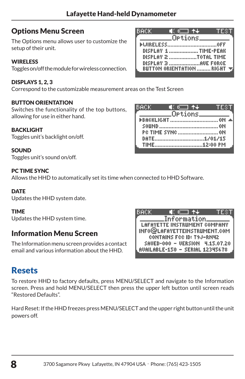BACK

## Options Menu Screen

The Options menu allows user to customize the setup of their unit.

## **WIRELESS**

Toggles on/off the module for wireless connection.

## DISPLAYS 1, 2, 3

Correspond to the customizable measurement areas on the Test Screen

### BUTTON ORIENTATION

Switches the functionality of the top buttons, allowing for use in either hand.

### BACKLIGHT

Toggles unit's backlight on/off.

### **SOUND**

Toggles unit's sound on/off.

### PC TIME SYNC

Allows the HHD to automatically set its time when only

## **DATF**

Updates the HHD system date.

## TIME

Updates the HHD system time.

## Information Menu Screen

The Information menu screen provides a contact email and various information about the HHD.

## Resets

To restore HHD to factory defaults, press MENU/SELECT and navigate to the Information screen. Press and hold MENU/SELECT then press the upper left button until screen reads "Restored Defaults".

Hard Reset: If the HHD freezes press MENU/SELECT and the upper right button until the unit powers off.

| l Galla A |                           |                                                 |  |
|-----------|---------------------------|-------------------------------------------------|--|
|           | Information.              |                                                 |  |
|           |                           | LAFAYETTE INSTRUMENT COMPANY                    |  |
|           |                           | INFO@LAFAYETTEINSTRUMENT.COM                    |  |
|           | CONTAINS FCC ID: T9J-RN42 |                                                 |  |
|           |                           | SAUED-000 - UERSION 4.15.07.20                  |  |
|           |                           | $\sf L$ AUAILABLE-150 – SERIAL 12345678 $\sf J$ |  |
|           |                           |                                                 |  |

| BACK. | ∎€©⊟ †∔                   | TEST |
|-------|---------------------------|------|
|       | _Options___               |      |
|       |                           |      |
|       | DISPLAY 1 TIME-PEAK       |      |
|       |                           |      |
|       | DISPLAY 3 AUE FORCE       |      |
|       | BUTTON ORIENTATION  RIGHT |      |

 $\blacksquare$  (  $\Box$   $\blacktriangleright$   $\downarrow$ Ortions\_

**FBACKLIGHT.........................** TIME.................................12:00 PM

| connected to HHD Software.                         |  |  |
|----------------------------------------------------|--|--|
|                                                    |  |  |
| BACK                                               |  |  |
| Information<br><b>LAFAYETTE INSTRUMENT COMPANY</b> |  |  |
| INFO@LAFAYETTEINSTRUMENT.COM                       |  |  |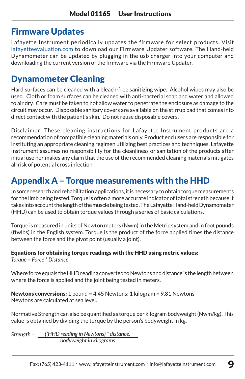## Firmware Updates

Lafayette Instrument periodically updates the firmware for select products. Visit lafayetteevaluation.com to download our Firmware Updater software. The Hand-held Dynamometer can be updated by plugging in the usb charger into your computer and downloading the current version of the firmware via the Firmware Updater.

## Dynamometer Cleaning

Hard surfaces can be cleaned with a bleach-free sanitizing wipe. Alcohol wipes may also be used. Cloth or foam surfaces can be cleaned with anti-bacterial soap and water and allowed to air dry. Care must be taken to not allow water to penetrate the enclosure as damage to the circuit may occur. Disposable sanitary covers are available on the stirrup pad that comes into direct contact with the patient's skin. Do not reuse disposable covers.

Disclaimer: These cleaning instructions for Lafayette Instrument products are a recommendation of compatible cleaning materials only. Product end users are responsible for instituting an appropriate cleaning regimen utilizing best practices and techniques. Lafayette Instrument assumes no responsibility for the cleanliness or sanitation of the products after initial use nor makes any claim that the use of the recommended cleaning materials mitigates all risk of potential cross infection.

## Appendix A – Torque measurements with the HHD

In some research and rehabilitation applications, it is necessary to obtain torque measurements for the limb being tested. Torque is often a more accurate indicator of total strength because it takes into account the length of the muscle being tested. The Lafayette Hand-held Dynamometer (HHD) can be used to obtain torque values through a series of basic calculations.

Torque is measured in units of Newton meters (Nwm) in the Metric system and in foot pounds (ftwlbs) in the English system. Torque is the product of the force applied times the distance between the force and the pivot point (usually a joint).

Equations for obtaining torque readings with the HHD using metric values:

*Torque = Force \* Distance*

Where force equals the HHD reading converted to Newtons and distance is the length between where the force is applied and the joint being tested in meters.

Newtons conversions: 1 pound = 4.45 Newtons; 1 kilogram = 9.81 Newtons Newtons are calculated at sea level.

Normative Strength can also be quantified as torque per kilogram bodyweight(Nwm/kg). This value is obtained by dividing the torque by the person's bodyweight in kg.

*Strength = ((HHD reading in Newtons) \* distance) bodyweight in kilograms*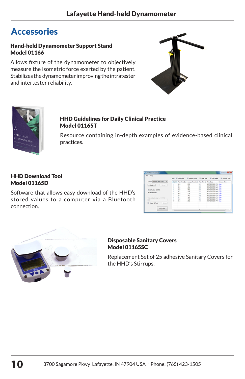## **Accessories**

#### Hand-held Dynamometer Support Stand Model 01166

Allows fixture of the dynamometer to objectively measure the isometric force exerted by the patient. Stabilizes the dynamometer improving the intratester and intertester reliability.





## HHD Guidelines for Daily Clinical Practice Model 01165T

Resource containing in-depth examples of evidence-based clinical practices.

#### HHD Download Tool Model 01165D

Software that allows easy download of the HHD's stored values to a computer via a Bluetooth connection.

| File Help                                             |        |           |      |                         | Ver U. Fed Foto U. Amage Foto U. Fed. Tow Time U. Tow Sure U. Foto in Time |  |
|-------------------------------------------------------|--------|-----------|------|-------------------------|----------------------------------------------------------------------------|--|
| Device Laborate MMT-CHIL-<br>$\overline{\phantom{a}}$ |        |           |      |                         |                                                                            |  |
| Load<br>Cancel                                        |        |           | 25.0 | 21                      | 6/21/2013 2:32 PM Craw                                                     |  |
|                                                       |        | 261       | 10.1 | b4                      | 6/21/2010 2:52 PM Craw                                                     |  |
|                                                       |        | 36.0      | 256  | 12                      | 6/21/2013 2:33 PM Craw                                                     |  |
| <b>Send Number 125400</b>                             |        | 21.3      | 19.2 | 0.8                     | 6/21/2010 2:33 PM Craw                                                     |  |
|                                                       |        | 361       | 17.4 | 13                      | 6/27/2013 2.33 PM Care                                                     |  |
| <b>Ni data retrieved</b>                              |        | <b>XI</b> | 땁    | 2.4                     | 6/27/2013 2:33 PM Craw                                                     |  |
|                                                       |        | 267       |      | 28                      | 6/21/2013 2:33 PM Care                                                     |  |
|                                                       |        | 221       | ta E | $\overline{\mathbf{z}}$ | 6/21/2010 2:33 PM Cray                                                     |  |
| Texts to decline in a 3.4-7.11.14.                    |        | 37.8      | 108  | 13                      | 6/27/2010 2:33 PM Conv                                                     |  |
| V6                                                    |        | 38.4      | 20.2 | 13                      | 6/27/2010 2:34 PM Craig                                                    |  |
| <b>El Dalle Al Tello</b><br>Downs.                    |        |           |      |                         |                                                                            |  |
| Capy Table                                            | $\sim$ |           |      | ۰                       |                                                                            |  |



### Disposable Sanitary Covers Model 01165SC

Replacement Set of 25 adhesive Sanitary Covers for the HHD's Stirrups.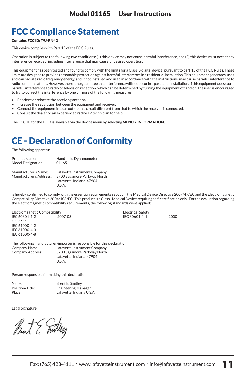## FCC Compliance Statement

#### Contains FCC ID: T9J-RN42

This device complies with Part 15 of the FCC Rules.

Operation is subject to the following two conditions: (1) this device may not cause harmful interference, and (2) this device must accept any interference received, including interference that may cause undesired operation.

This equipment has been tested and found to comply with the limits for a Class B digital device, pursuant to part 15 of the FCC Rules. These limits are designed to provide reasonable protection against harmful interference in a residential installation. This equipment generates, uses and can radiate radio frequency energy, and if not installed and used in accordance with the instructions, may cause harmful interference to radio communications. However, there is no guarantee that interference will not occur in a particular installation. If this equipment does cause harmful interference to radio or television reception, which can be determined by turning the equipment off and on, the user is encouraged to try to correct the interference by one or more of the following measures:

- Reorient or relocate the receiving antenna.
- Increase the separation between the equipment and receiver.
- Connect the equipment into an outlet on a circuit different from that to which the receiver is connected.
- Consult the dealer or an experienced radio/TV technician for help.

The FCC ID for the HHD is available via the device menu by selecting MENU > INFORMATION.

## CE - Declaration of Conformity

The following apparatus:

| Product Name:                                   | Hand-held Dynamometer                                                                   |
|-------------------------------------------------|-----------------------------------------------------------------------------------------|
| Model Designation:                              | 01165                                                                                   |
| Manufacturer's Name:<br>Manufacturer's Address: | Lafavette Instrument Company<br>3700 Sagamore Parkway North<br>Lafavette, Indiana 47904 |

U.S.A.

is hereby confirmed to comply with the essential requirements set out in the Medical Device Directive 2007/47/EC and the Electromagnetic Compatibility Directive 2004/108/EC. This productis aClass I Medical Device requiring self-certification only. For the evaluation regarding the electromagnetic compatibility requirements, the following standards were applied:

IEC 60601-1-2 :2007-03 IEC 60601-1-1 :2000

Electromagnetic Compatibility<br>
FC 60601-1-2<br>
FC 60601-1-1 CISPR 11 IEC 61000-4-2 IEC 61000-4-3 IEC 61000-4-8

The following manufacturer/importer is responsible for this declaration: Company Name: Lafayette Instrument Company Company Address: 3700 Sagamore Parkway North Lafayette, Indiana 47904

 $U C A$ 

Person responsible for making this declaration:

| Name:           | <b>Brent E. Smitley</b>    |
|-----------------|----------------------------|
| Position/Title: | <b>Engineering Manager</b> |
| Place:          | Lafayette, Indiana U.S.A.  |

Legal Signature:

Bunt ? Truttery